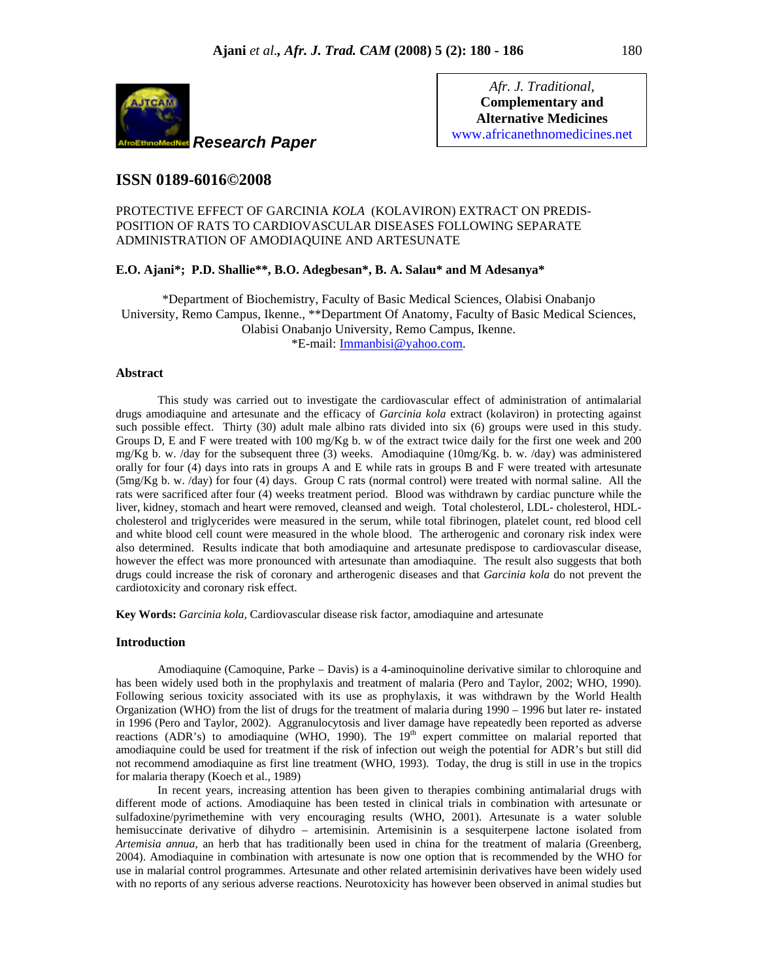

*Afr. J. Traditional*, **Complementary and Alternative Medicines**  www.africanethnomedicines.net

# **ISSN 0189-6016©2008**

PROTECTIVE EFFECT OF GARCINIA *KOLA* (KOLAVIRON) EXTRACT ON PREDIS-POSITION OF RATS TO CARDIOVASCULAR DISEASES FOLLOWING SEPARATE ADMINISTRATION OF AMODIAQUINE AND ARTESUNATE

### **E.O. Ajani\*; P.D. Shallie\*\*, B.O. Adegbesan\*, B. A. Salau\* and M Adesanya\***

\*Department of Biochemistry, Faculty of Basic Medical Sciences, Olabisi Onabanjo University, Remo Campus, Ikenne., \*\*Department Of Anatomy, Faculty of Basic Medical Sciences, Olabisi Onabanjo University, Remo Campus, Ikenne. \*E-mail: Immanbisi@yahoo.com.

## **Abstract**

This study was carried out to investigate the cardiovascular effect of administration of antimalarial drugs amodiaquine and artesunate and the efficacy of *Garcinia kola* extract (kolaviron) in protecting against such possible effect. Thirty (30) adult male albino rats divided into six (6) groups were used in this study. Groups D, E and F were treated with 100 mg/Kg b. w of the extract twice daily for the first one week and 200 mg/Kg b. w. /day for the subsequent three (3) weeks. Amodiaquine (10mg/Kg. b. w. /day) was administered orally for four (4) days into rats in groups A and E while rats in groups B and F were treated with artesunate (5mg/Kg b. w. /day) for four (4) days. Group C rats (normal control) were treated with normal saline. All the rats were sacrificed after four (4) weeks treatment period. Blood was withdrawn by cardiac puncture while the liver, kidney, stomach and heart were removed, cleansed and weigh. Total cholesterol, LDL- cholesterol, HDLcholesterol and triglycerides were measured in the serum, while total fibrinogen, platelet count, red blood cell and white blood cell count were measured in the whole blood. The artherogenic and coronary risk index were also determined. Results indicate that both amodiaquine and artesunate predispose to cardiovascular disease, however the effect was more pronounced with artesunate than amodiaquine. The result also suggests that both drugs could increase the risk of coronary and artherogenic diseases and that *Garcinia kola* do not prevent the cardiotoxicity and coronary risk effect.

**Key Words:** *Garcinia kola,* Cardiovascular disease risk factor, amodiaquine and artesunate

### **Introduction**

Amodiaquine (Camoquine, Parke – Davis) is a 4-aminoquinoline derivative similar to chloroquine and has been widely used both in the prophylaxis and treatment of malaria (Pero and Taylor, 2002; WHO, 1990). Following serious toxicity associated with its use as prophylaxis, it was withdrawn by the World Health Organization (WHO) from the list of drugs for the treatment of malaria during 1990 – 1996 but later re- instated in 1996 (Pero and Taylor, 2002). Aggranulocytosis and liver damage have repeatedly been reported as adverse reactions (ADR's) to amodiaquine (WHO, 1990). The 19<sup>th</sup> expert committee on malarial reported that amodiaquine could be used for treatment if the risk of infection out weigh the potential for ADR's but still did not recommend amodiaquine as first line treatment (WHO, 1993). Today, the drug is still in use in the tropics for malaria therapy (Koech et al., 1989)

In recent years, increasing attention has been given to therapies combining antimalarial drugs with different mode of actions. Amodiaquine has been tested in clinical trials in combination with artesunate or sulfadoxine/pyrimethemine with very encouraging results (WHO, 2001). Artesunate is a water soluble hemisuccinate derivative of dihydro – artemisinin. Artemisinin is a sesquiterpene lactone isolated from *Artemisia annua*, an herb that has traditionally been used in china for the treatment of malaria (Greenberg, 2004). Amodiaquine in combination with artesunate is now one option that is recommended by the WHO for use in malarial control programmes. Artesunate and other related artemisinin derivatives have been widely used with no reports of any serious adverse reactions. Neurotoxicity has however been observed in animal studies but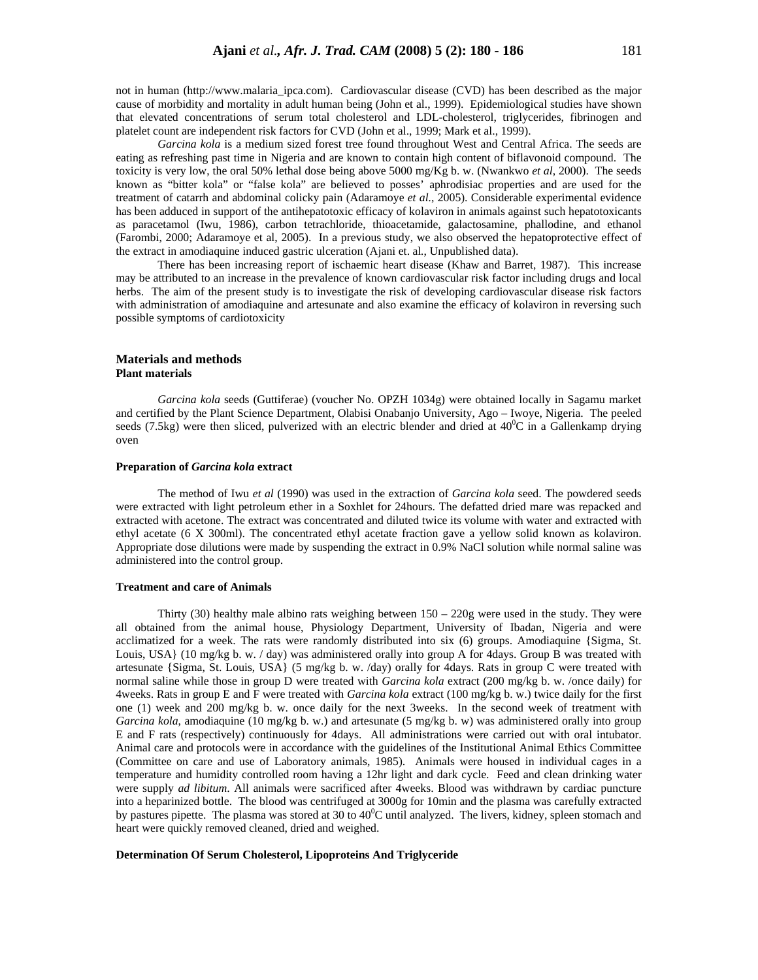not in human (http://www.malaria\_ipca.com). Cardiovascular disease (CVD) has been described as the major cause of morbidity and mortality in adult human being (John et al., 1999). Epidemiological studies have shown that elevated concentrations of serum total cholesterol and LDL-cholesterol, triglycerides, fibrinogen and platelet count are independent risk factors for CVD (John et al., 1999; Mark et al., 1999).

*Garcina kola* is a medium sized forest tree found throughout West and Central Africa. The seeds are eating as refreshing past time in Nigeria and are known to contain high content of biflavonoid compound. The toxicity is very low, the oral 50% lethal dose being above 5000 mg/Kg b. w. (Nwankwo *et al*, 2000). The seeds known as "bitter kola" or "false kola" are believed to posses' aphrodisiac properties and are used for the treatment of catarrh and abdominal colicky pain (Adaramoye *et al.*, 2005). Considerable experimental evidence has been adduced in support of the antihepatotoxic efficacy of kolaviron in animals against such hepatotoxicants as paracetamol (Iwu, 1986), carbon tetrachloride, thioacetamide, galactosamine, phallodine, and ethanol (Farombi, 2000; Adaramoye et al, 2005). In a previous study, we also observed the hepatoprotective effect of the extract in amodiaquine induced gastric ulceration (Ajani et. al*.*, Unpublished data).

There has been increasing report of ischaemic heart disease (Khaw and Barret, 1987). This increase may be attributed to an increase in the prevalence of known cardiovascular risk factor including drugs and local herbs. The aim of the present study is to investigate the risk of developing cardiovascular disease risk factors with administration of amodiaquine and artesunate and also examine the efficacy of kolaviron in reversing such possible symptoms of cardiotoxicity

### **Materials and methods Plant materials**

*Garcina kola* seeds (Guttiferae) (voucher No. OPZH 1034g) were obtained locally in Sagamu market and certified by the Plant Science Department, Olabisi Onabanjo University, Ago – Iwoye, Nigeria. The peeled seeds (7.5kg) were then sliced, pulverized with an electric blender and dried at  $40^{\circ}$ C in a Gallenkamp drying oven

#### **Preparation of** *Garcina kola* **extract**

The method of Iwu *et al* (1990) was used in the extraction of *Garcina kola* seed. The powdered seeds were extracted with light petroleum ether in a Soxhlet for 24hours. The defatted dried mare was repacked and extracted with acetone. The extract was concentrated and diluted twice its volume with water and extracted with ethyl acetate (6 X 300ml). The concentrated ethyl acetate fraction gave a yellow solid known as kolaviron. Appropriate dose dilutions were made by suspending the extract in 0.9% NaCl solution while normal saline was administered into the control group.

#### **Treatment and care of Animals**

Thirty (30) healthy male albino rats weighing between  $150 - 220g$  were used in the study. They were all obtained from the animal house, Physiology Department, University of Ibadan, Nigeria and were acclimatized for a week. The rats were randomly distributed into six (6) groups. Amodiaquine {Sigma, St. Louis, USA} (10 mg/kg b. w. / day) was administered orally into group A for 4days. Group B was treated with artesunate {Sigma, St. Louis, USA} (5 mg/kg b. w. /day) orally for 4days. Rats in group C were treated with normal saline while those in group D were treated with *Garcina kola* extract (200 mg/kg b. w. /once daily) for 4weeks. Rats in group E and F were treated with *Garcina kola* extract (100 mg/kg b. w.) twice daily for the first one (1) week and 200 mg/kg b. w. once daily for the next 3weeks. In the second week of treatment with *Garcina kola*, amodiaquine (10 mg/kg b. w.) and artesunate (5 mg/kg b. w) was administered orally into group E and F rats (respectively) continuously for 4days. All administrations were carried out with oral intubator. Animal care and protocols were in accordance with the guidelines of the Institutional Animal Ethics Committee (Committee on care and use of Laboratory animals, 1985). Animals were housed in individual cages in a temperature and humidity controlled room having a 12hr light and dark cycle. Feed and clean drinking water were supply *ad libitum*. All animals were sacrificed after 4weeks. Blood was withdrawn by cardiac puncture into a heparinized bottle. The blood was centrifuged at 3000g for 10min and the plasma was carefully extracted by pastures pipette. The plasma was stored at 30 to  $40^0$ C until analyzed. The livers, kidney, spleen stomach and heart were quickly removed cleaned, dried and weighed.

#### **Determination Of Serum Cholesterol, Lipoproteins And Triglyceride**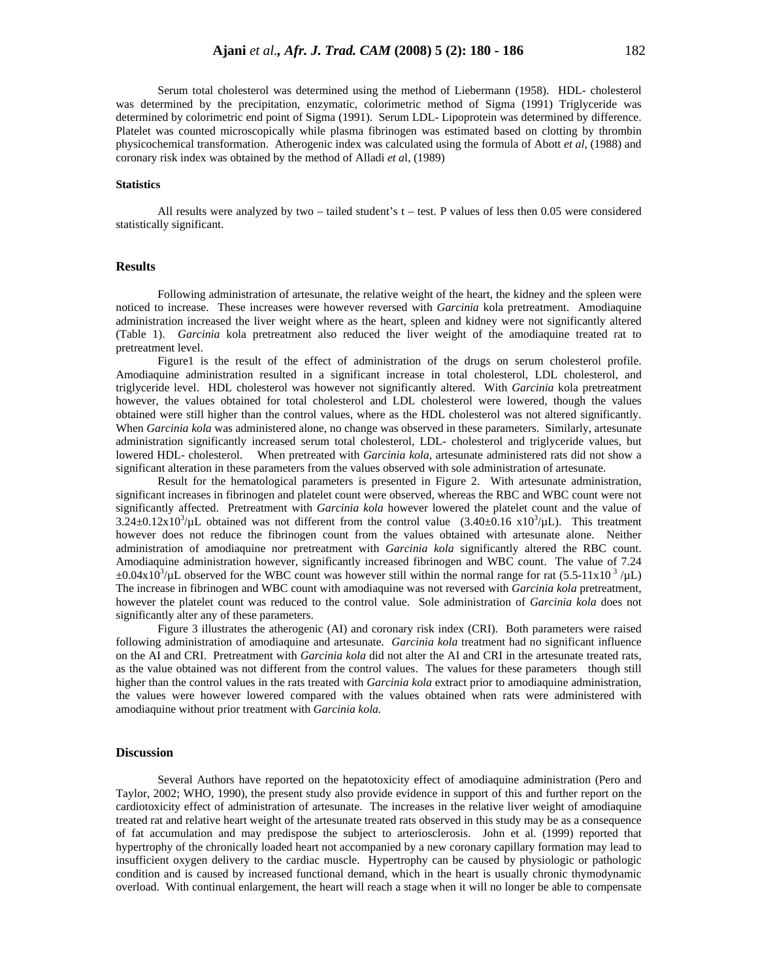Serum total cholesterol was determined using the method of Liebermann (1958). HDL- cholesterol was determined by the precipitation, enzymatic, colorimetric method of Sigma (1991) Triglyceride was determined by colorimetric end point of Sigma (1991). Serum LDL- Lipoprotein was determined by difference. Platelet was counted microscopically while plasma fibrinogen was estimated based on clotting by thrombin physicochemical transformation. Atherogenic index was calculated using the formula of Abott *et al*, (1988) and coronary risk index was obtained by the method of Alladi *et a*l, (1989)

#### **Statistics**

All results were analyzed by two – tailed student's t – test. P values of less then 0.05 were considered statistically significant.

### **Results**

Following administration of artesunate, the relative weight of the heart, the kidney and the spleen were noticed to increase. These increases were however reversed with *Garcinia* kola pretreatment. Amodiaquine administration increased the liver weight where as the heart, spleen and kidney were not significantly altered (Table 1). *Garcinia* kola pretreatment also reduced the liver weight of the amodiaquine treated rat to pretreatment level.

Figure1 is the result of the effect of administration of the drugs on serum cholesterol profile. Amodiaquine administration resulted in a significant increase in total cholesterol, LDL cholesterol, and triglyceride level. HDL cholesterol was however not significantly altered. With *Garcinia* kola pretreatment however, the values obtained for total cholesterol and LDL cholesterol were lowered, though the values obtained were still higher than the control values, where as the HDL cholesterol was not altered significantly. When *Garcinia kola* was administered alone, no change was observed in these parameters. Similarly, artesunate administration significantly increased serum total cholesterol, LDL- cholesterol and triglyceride values, but lowered HDL- cholesterol. When pretreated with *Garcinia kola*, artesunate administered rats did not show a significant alteration in these parameters from the values observed with sole administration of artesunate.

Result for the hematological parameters is presented in Figure 2. With artesunate administration, significant increases in fibrinogen and platelet count were observed, whereas the RBC and WBC count were not significantly affected. Pretreatment with *Garcinia kola* however lowered the platelet count and the value of  $3.24\pm0.12x10^3/\mu L$  obtained was not different from the control value  $(3.40\pm0.16 \times 10^3/\mu L)$ . This treatment however does not reduce the fibrinogen count from the values obtained with artesunate alone. Neither administration of amodiaquine nor pretreatment with *Garcinia kola* significantly altered the RBC count. Amodiaquine administration however, significantly increased fibrinogen and WBC count. The value of 7.24  $\pm 0.04 \times 10^3/\mu$ L observed for the WBC count was however still within the normal range for rat (5.5-11x10<sup>3</sup>/ $\mu$ L) The increase in fibrinogen and WBC count with amodiaquine was not reversed with *Garcinia kola* pretreatment, however the platelet count was reduced to the control value. Sole administration of *Garcinia kola* does not significantly alter any of these parameters.

Figure 3 illustrates the atherogenic (AI) and coronary risk index (CRI). Both parameters were raised following administration of amodiaquine and artesunate. *Garcinia kola* treatment had no significant influence on the AI and CRI. Pretreatment with *Garcinia kola* did not alter the AI and CRI in the artesunate treated rats, as the value obtained was not different from the control values. The values for these parameters though still higher than the control values in the rats treated with *Garcinia kola* extract prior to amodiaquine administration, the values were however lowered compared with the values obtained when rats were administered with amodiaquine without prior treatment with *Garcinia kola.*

### **Discussion**

Several Authors have reported on the hepatotoxicity effect of amodiaquine administration (Pero and Taylor, 2002; WHO, 1990), the present study also provide evidence in support of this and further report on the cardiotoxicity effect of administration of artesunate. The increases in the relative liver weight of amodiaquine treated rat and relative heart weight of the artesunate treated rats observed in this study may be as a consequence of fat accumulation and may predispose the subject to arteriosclerosis. John et al. (1999) reported that hypertrophy of the chronically loaded heart not accompanied by a new coronary capillary formation may lead to insufficient oxygen delivery to the cardiac muscle. Hypertrophy can be caused by physiologic or pathologic condition and is caused by increased functional demand, which in the heart is usually chronic thymodynamic overload. With continual enlargement, the heart will reach a stage when it will no longer be able to compensate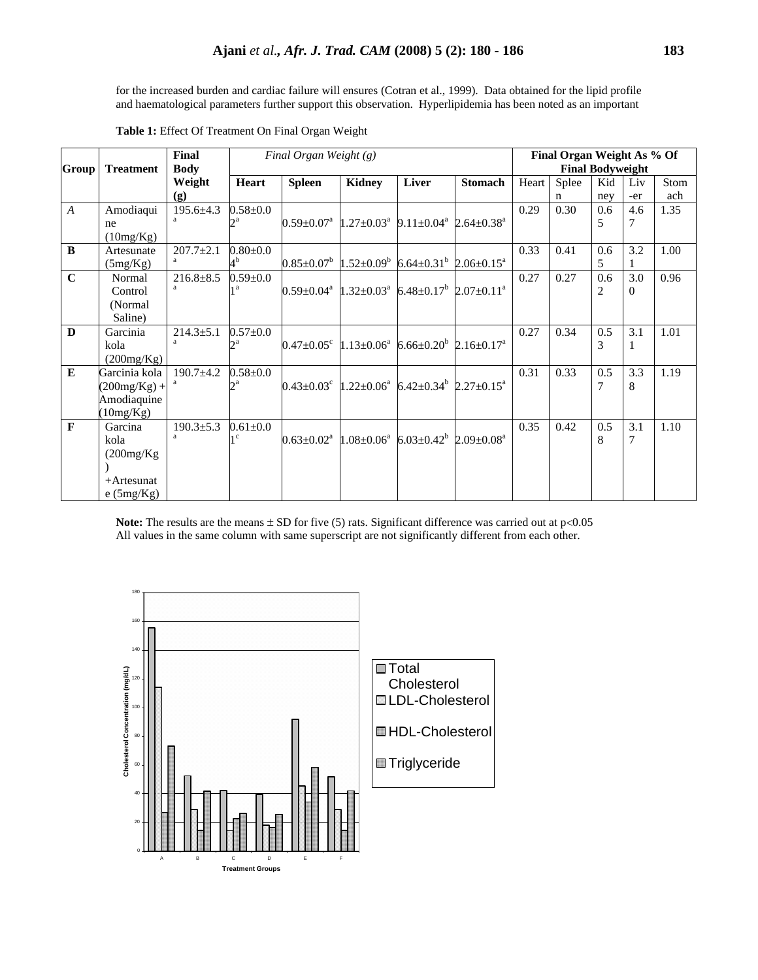for the increased burden and cardiac failure will ensures (Cotran et al., 1999). Data obtained for the lipid profile and haematological parameters further support this observation. Hyperlipidemia has been noted as an important

|                  |                  |                 |                | Final Organ Weight As % Of                                                                             |                            |                                                       |                              |       |                         |     |          |      |  |
|------------------|------------------|-----------------|----------------|--------------------------------------------------------------------------------------------------------|----------------------------|-------------------------------------------------------|------------------------------|-------|-------------------------|-----|----------|------|--|
| Group            | <b>Treatment</b> | <b>Body</b>     |                |                                                                                                        |                            |                                                       |                              |       | <b>Final Bodyweight</b> |     |          |      |  |
|                  |                  | Weight          | Heart          | <b>Spleen</b>                                                                                          | <b>Kidney</b>              | Liver                                                 | <b>Stomach</b>               | Heart | Splee                   | Kid | Liv      | Stom |  |
|                  |                  | (g)             |                |                                                                                                        |                            |                                                       |                              |       | n                       | ney | -er      | ach  |  |
| $\boldsymbol{A}$ | Amodiaqui        | $195.6 \pm 4.3$ | $0.58 + 0.0$   |                                                                                                        |                            |                                                       |                              | 0.29  | 0.30                    | 0.6 | 4.6      | 1.35 |  |
|                  | ne               |                 | $2^a$          | $0.59 \pm 0.07$ <sup>a</sup>                                                                           | $1.27 \pm 0.03^{\text{a}}$ | $9.11 \pm 0.04^{\text{a}}$                            | $2.64 \pm 0.38$ <sup>a</sup> |       |                         | 5   | 7        |      |  |
|                  | (10mg/Kg)        |                 |                |                                                                                                        |                            |                                                       |                              |       |                         |     |          |      |  |
| B                | Artesunate       | $207.7 \pm 2.1$ | $0.80 + 0.0$   |                                                                                                        |                            |                                                       |                              | 0.33  | 0.41                    | 0.6 | 3.2      | 1.00 |  |
|                  | (5mg/Kg)         | a               | 4 <sup>b</sup> | $0.85 \pm 0.07^{\mathrm{b}}$                                                                           |                            | $1.52 \pm 0.09^b$ 6.64 $\pm 0.31^b$ 2.06 $\pm 0.15^a$ |                              |       |                         | 5   |          |      |  |
| $\mathbf C$      | Normal           | $216.8 \pm 8.5$ | $0.59 + 0.0$   |                                                                                                        |                            |                                                       |                              | 0.27  | 0.27                    | 0.6 | 3.0      | 0.96 |  |
|                  | Control          | a               | 1 <sup>a</sup> | $0.59\pm0.04^{\text{a}}$ 1.32 $\pm0.03^{\text{a}}$ 6.48 $\pm0.17^{\text{b}}$ 2.07 $\pm0.11^{\text{a}}$ |                            |                                                       |                              |       |                         | 2   | $\Omega$ |      |  |
|                  | (Normal)         |                 |                |                                                                                                        |                            |                                                       |                              |       |                         |     |          |      |  |
|                  | Saline)          |                 |                |                                                                                                        |                            |                                                       |                              |       |                         |     |          |      |  |
| D                | Garcinia         | $214.3 \pm 5.1$ | $0.57 + 0.0$   |                                                                                                        |                            |                                                       |                              | 0.27  | 0.34                    | 0.5 | 3.1      | 1.01 |  |
|                  | kola             |                 | 2a             | $0.47 \pm 0.05^{\circ}$                                                                                | $1.13 \pm 0.06^a$          | $6.66 \pm 0.20^b$ 2.16 $\pm$ 0.17 <sup>a</sup>        |                              |       |                         | 3   | 1        |      |  |
|                  | (200mg/Kg)       |                 |                |                                                                                                        |                            |                                                       |                              |       |                         |     |          |      |  |
| E                | Garcinia kola    | $190.7 + 4.2$   | $0.58 + 0.0$   |                                                                                                        |                            |                                                       |                              | 0.31  | 0.33                    | 0.5 | 3.3      | 1.19 |  |
|                  | $(200mg/Kg) +$   |                 | 2a             | $0.43\pm0.03^{\circ}$ 1.22 $\pm0.06^{\circ}$ 6.42 $\pm0.34^{\circ}$ 2.27 $\pm0.15^{\circ}$             |                            |                                                       |                              |       |                         | 7   | 8        |      |  |
|                  | Amodiaquine      |                 |                |                                                                                                        |                            |                                                       |                              |       |                         |     |          |      |  |
|                  | (10mg/Kg)        |                 |                |                                                                                                        |                            |                                                       |                              |       |                         |     |          |      |  |
| $\mathbf{F}$     | Garcina          | $190.3 \pm 5.3$ | $0.61 + 0.0$   |                                                                                                        |                            |                                                       |                              | 0.35  | 0.42                    | 0.5 | 3.1      | 1.10 |  |
|                  | kola             | a               | 1 <sup>c</sup> | $0.63 \pm 0.02^{\text{a}}$                                                                             | $1.08 \pm 0.06^a$          | $6.03 \pm 0.42^b$ 2.09 $\pm$ 0.08 <sup>a</sup>        |                              |       |                         | 8   | 7        |      |  |
|                  | (200mg/Kg)       |                 |                |                                                                                                        |                            |                                                       |                              |       |                         |     |          |      |  |
|                  |                  |                 |                |                                                                                                        |                            |                                                       |                              |       |                         |     |          |      |  |
|                  | $+A$ rtesunat    |                 |                |                                                                                                        |                            |                                                       |                              |       |                         |     |          |      |  |
|                  | e(5mg/Kg)        |                 |                |                                                                                                        |                            |                                                       |                              |       |                         |     |          |      |  |

**Table 1:** Effect Of Treatment On Final Organ Weight

**Note:** The results are the means  $\pm$  SD for five (5) rats. Significant difference was carried out at  $p<0.05$ All values in the same column with same superscript are not significantly different from each other.

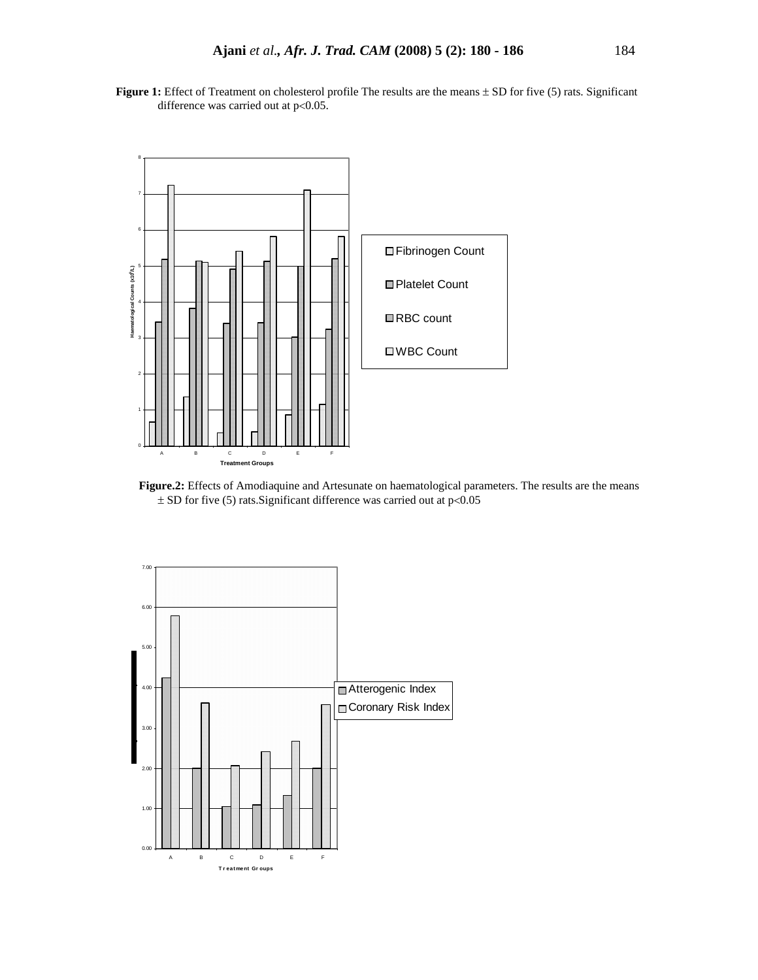Figure 1: Effect of Treatment on cholesterol profile The results are the means  $\pm$  SD for five (5) rats. Significant difference was carried out at p<0.05.



 **Figure.2:** Effects of Amodiaquine and Artesunate on haematological parameters. The results are the means  $\pm$  SD for five (5) rats. Significant difference was carried out at p<0.05

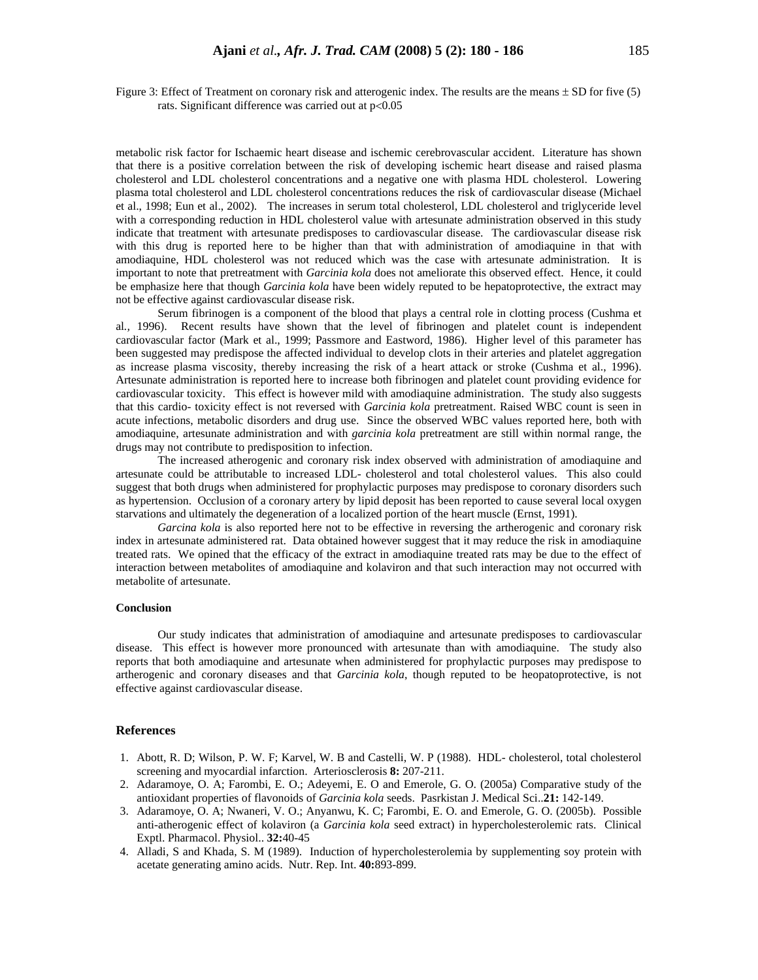Figure 3: Effect of Treatment on coronary risk and atterogenic index. The results are the means  $\pm$  SD for five (5) rats. Significant difference was carried out at p<0.05

metabolic risk factor for Ischaemic heart disease and ischemic cerebrovascular accident. Literature has shown that there is a positive correlation between the risk of developing ischemic heart disease and raised plasma cholesterol and LDL cholesterol concentrations and a negative one with plasma HDL cholesterol. Lowering plasma total cholesterol and LDL cholesterol concentrations reduces the risk of cardiovascular disease (Michael et al., 1998; Eun et al., 2002). The increases in serum total cholesterol, LDL cholesterol and triglyceride level with a corresponding reduction in HDL cholesterol value with artesunate administration observed in this study indicate that treatment with artesunate predisposes to cardiovascular disease. The cardiovascular disease risk with this drug is reported here to be higher than that with administration of amodiaquine in that with amodiaquine, HDL cholesterol was not reduced which was the case with artesunate administration. It is important to note that pretreatment with *Garcinia kola* does not ameliorate this observed effect. Hence, it could be emphasize here that though *Garcinia kola* have been widely reputed to be hepatoprotective, the extract may not be effective against cardiovascular disease risk.

Serum fibrinogen is a component of the blood that plays a central role in clotting process (Cushma et al*.,* 1996). Recent results have shown that the level of fibrinogen and platelet count is independent cardiovascular factor (Mark et al., 1999; Passmore and Eastword, 1986). Higher level of this parameter has been suggested may predispose the affected individual to develop clots in their arteries and platelet aggregation as increase plasma viscosity, thereby increasing the risk of a heart attack or stroke (Cushma et al., 1996). Artesunate administration is reported here to increase both fibrinogen and platelet count providing evidence for cardiovascular toxicity. This effect is however mild with amodiaquine administration. The study also suggests that this cardio- toxicity effect is not reversed with *Garcinia kola* pretreatment. Raised WBC count is seen in acute infections, metabolic disorders and drug use. Since the observed WBC values reported here, both with amodiaquine, artesunate administration and with *garcinia kola* pretreatment are still within normal range, the drugs may not contribute to predisposition to infection.

 The increased atherogenic and coronary risk index observed with administration of amodiaquine and artesunate could be attributable to increased LDL- cholesterol and total cholesterol values. This also could suggest that both drugs when administered for prophylactic purposes may predispose to coronary disorders such as hypertension. Occlusion of a coronary artery by lipid deposit has been reported to cause several local oxygen starvations and ultimately the degeneration of a localized portion of the heart muscle (Ernst, 1991).

*Garcina kola* is also reported here not to be effective in reversing the artherogenic and coronary risk index in artesunate administered rat. Data obtained however suggest that it may reduce the risk in amodiaquine treated rats. We opined that the efficacy of the extract in amodiaquine treated rats may be due to the effect of interaction between metabolites of amodiaquine and kolaviron and that such interaction may not occurred with metabolite of artesunate.

#### **Conclusion**

Our study indicates that administration of amodiaquine and artesunate predisposes to cardiovascular disease. This effect is however more pronounced with artesunate than with amodiaquine. The study also reports that both amodiaquine and artesunate when administered for prophylactic purposes may predispose to artherogenic and coronary diseases and that *Garcinia kola*, though reputed to be heopatoprotective, is not effective against cardiovascular disease.

#### **References**

- 1. Abott, R. D; Wilson, P. W. F; Karvel, W. B and Castelli, W. P (1988). HDL- cholesterol, total cholesterol screening and myocardial infarction. Arteriosclerosis **8:** 207-211.
- 2. Adaramoye, O. A; Farombi, E. O.; Adeyemi, E. O and Emerole, G. O. (2005a) Comparative study of the antioxidant properties of flavonoids of *Garcinia kola* seeds. Pasrkistan J. Medical Sci..**21:** 142-149.
- 3. Adaramoye, O. A; Nwaneri, V. O.; Anyanwu, K. C; Farombi, E. O. and Emerole, G. O. (2005b). Possible anti-atherogenic effect of kolaviron (a *Garcinia kola* seed extract) in hypercholesterolemic rats. Clinical Exptl. Pharmacol. Physiol.. **32:**40-45
- 4. Alladi, S and Khada, S. M (1989). Induction of hypercholesterolemia by supplementing soy protein with acetate generating amino acids. Nutr. Rep. Int. **40:**893-899.